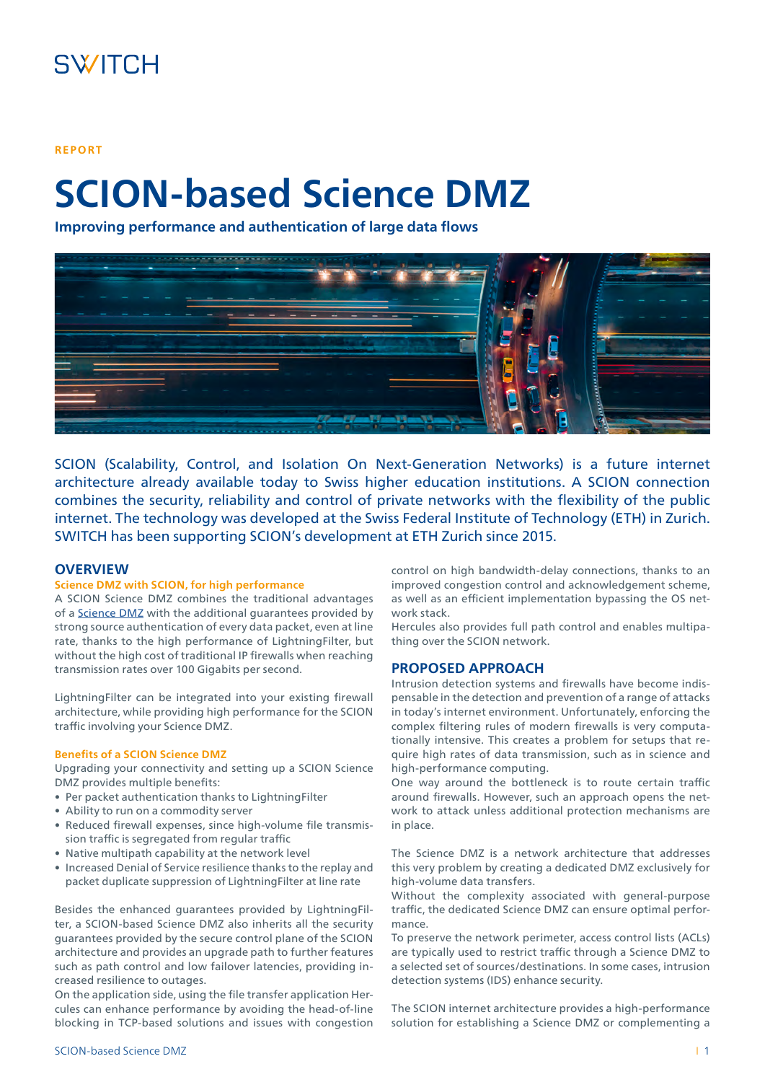## **REPORT**

# **SCION-based Science DMZ**

**Improving performance and authentication of large data flows**



SCION (Scalability, Control, and Isolation On Next-Generation Networks) is a future internet architecture already available today to Swiss higher education institutions. A SCION connection combines the security, reliability and control of private networks with the flexibility of the public internet. The technology was developed at the Swiss Federal Institute of Technology (ETH) in Zurich. SWITCH has been supporting SCION's development at ETH Zurich since 2015.

# **OVERVIEW**

# **Science DMZ with SCION, for high performance**

A SCION Science DMZ combines the traditional advantages of a [Science DMZ](https://fasterdata.es.net/science-dmz/) with the additional guarantees provided by strong source authentication of every data packet, even at line rate, thanks to the high performance of LightningFilter, but without the high cost of traditional IP firewalls when reaching transmission rates over 100 Gigabits per second.

LightningFilter can be integrated into your existing firewall architecture, while providing high performance for the SCION traffic involving your Science DMZ.

#### **Benefits of a SCION Science DMZ**

Upgrading your connectivity and setting up a SCION Science DMZ provides multiple benefits:

- Per packet authentication thanks to LightningFilter
- Ability to run on a commodity server
- Reduced firewall expenses, since high-volume file transmission traffic is segregated from regular traffic
- Native multipath capability at the network level
- Increased Denial of Service resilience thanks to the replay and packet duplicate suppression of LightningFilter at line rate

Besides the enhanced guarantees provided by LightningFilter, a SCION-based Science DMZ also inherits all the security guarantees provided by the secure control plane of the SCION architecture and provides an upgrade path to further features such as path control and low failover latencies, providing increased resilience to outages.

On the application side, using the file transfer application Hercules can enhance performance by avoiding the head-of-line blocking in TCP-based solutions and issues with congestion

control on high bandwidth-delay connections, thanks to an improved congestion control and acknowledgement scheme, as well as an efficient implementation bypassing the OS network stack.

Hercules also provides full path control and enables multipathing over the SCION network.

# **PROPOSED APPROACH**

Intrusion detection systems and firewalls have become indispensable in the detection and prevention of a range of attacks in today's internet environment. Unfortunately, enforcing the complex filtering rules of modern firewalls is very computationally intensive. This creates a problem for setups that require high rates of data transmission, such as in science and high-performance computing.

One way around the bottleneck is to route certain traffic around firewalls. However, such an approach opens the network to attack unless additional protection mechanisms are in place.

The Science DMZ is a network architecture that addresses this very problem by creating a dedicated DMZ exclusively for high-volume data transfers.

Without the complexity associated with general-purpose traffic, the dedicated Science DMZ can ensure optimal performance.

To preserve the network perimeter, access control lists (ACLs) are typically used to restrict traffic through a Science DMZ to a selected set of sources/destinations. In some cases, intrusion detection systems (IDS) enhance security.

The SCION internet architecture provides a high-performance solution for establishing a Science DMZ or complementing a